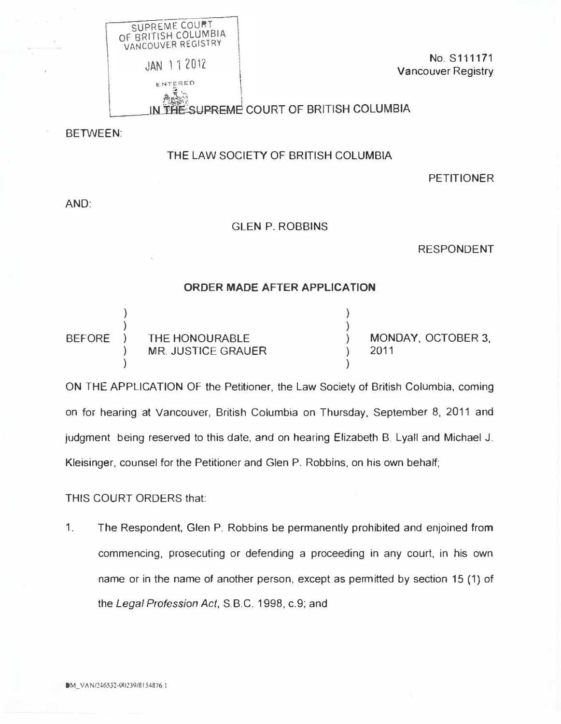

No. S111171 Vancouver Registry

THE SUPREME COURT OF BRITISH COLUMBIA

BETWEEN:

## THE LAW SOCIETY OF BRITISH COLUMBIA

PETITIONER

AND:

## GLEN P. ROBBINS

RESPONDENT

## ORDER MADE AFTER APPLICATION

| <b>BEFORE</b> | THE HONOURABLE     | MONDAY, OCTOBER 3, |
|---------------|--------------------|--------------------|
|               | MR. JUSTICE GRAUER | 2011               |
|               |                    |                    |

ON THE APPLICATION OF the Petitioner. the Law Society of British Columbia, coming on for hearing at Vancouver, British Columbia on Thursday, September 8, 2011 and judgment being reserved to this date, and on hearing Elizabeth B. Lyall and Michael J. Kleisinger. counsel for the Petitioner and Glen P. Robbins. on his own behalf;

THIS COURT ORDERS that:

1. The Respondent. Glen P. Robbins be permanently prohibited and enjoined from commencing, prosecuting or defending a proceeding in any court. in his own name or in the name of another person, except as permitted by section 15 (1) of the Legal Profession Act, S.B.C. 1998, c.9; and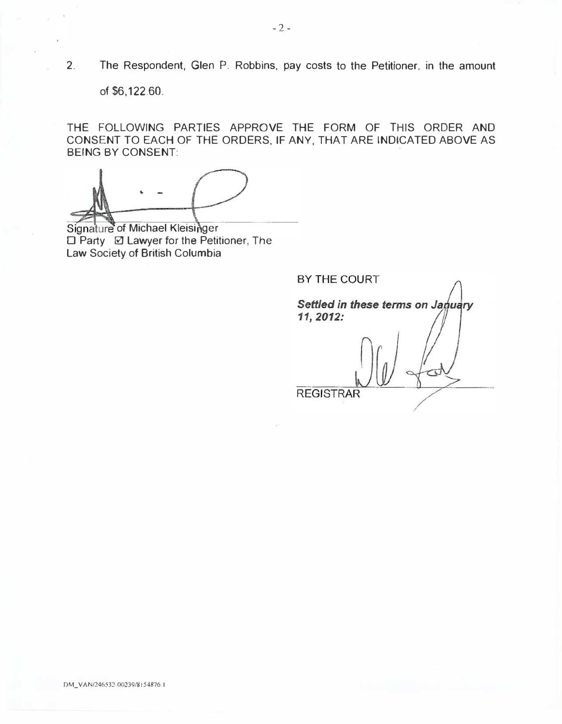2. The Respondent, Glen P. Robbins, pay costs to the Petitioner, in the amount

of \$6,122.60.

THE FOLLOWING PARTIES APPROVE THE FORM OF THIS ORDER AND CONSENT TO EACH OF THE ORDERS, IF ANY, THAT ARE INDICATED ABOVE AS BEING BY CONSENT:

.. -

Signature of Michael Kleisinger □ Party **2 Lawyer for the Petitioner**, The Law Society of British Columbia

BY THE COURT Settled in these terms on January 11, 2012: **REGISTRAR**